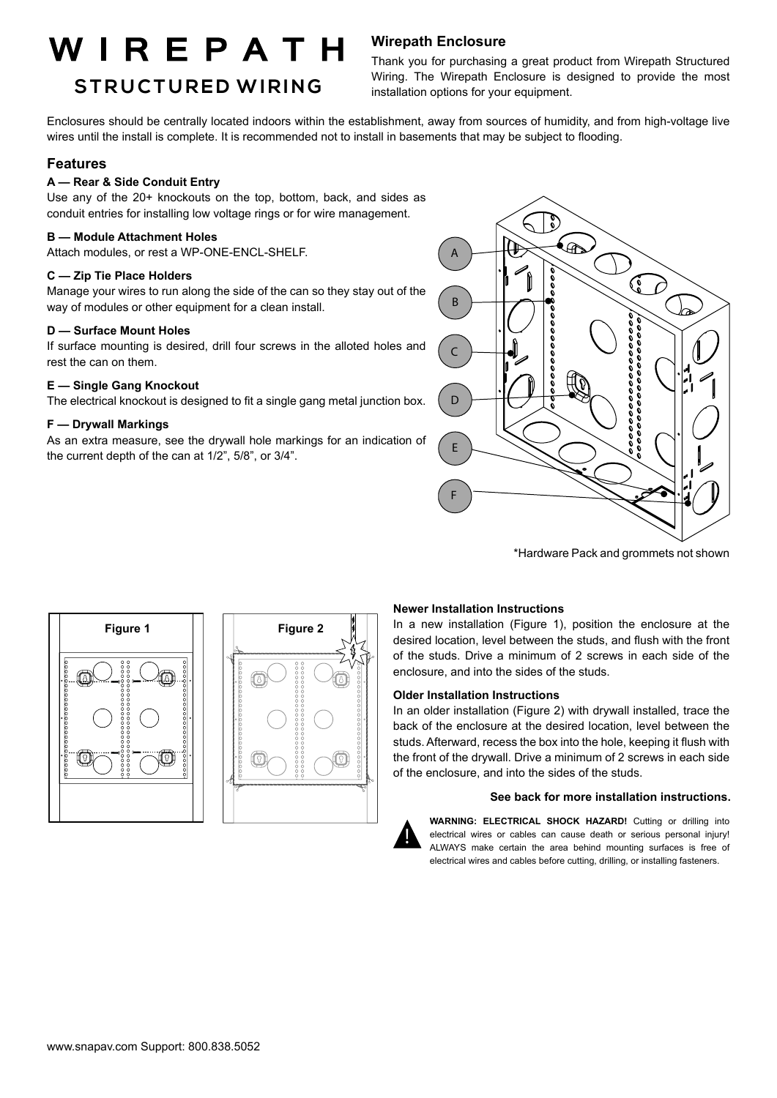# WIREPATH

## **BULK WIRE STR UC T URED WIRING**

### **Wirepath Enclosure**

Thank you for purchasing a great product from Wirepath Structured Wiring. The Wirepath Enclosure is designed to provide the most installation options for your equipment.

Enclosures should be centrally located indoors within the establishment, away from sources of humidity, and from high-voltage live wires until the install is complete. It is recommended not to install in basements that may be subject to flooding.

### **Features**

#### **A — Rear & Side Conduit Entry**

Use any of the 20+ knockouts on the top, bottom, back, and sides as conduit entries for installing low voltage rings or for wire management.

#### **B — Module Attachment Holes**

Attach modules, or rest a WP-ONE-ENCL-SHELF.

#### **C — Zip Tie Place Holders**

Manage your wires to run along the side of the can so they stay out of the way of modules or other equipment for a clean install.

#### **D — Surface Mount Holes**

If surface mounting is desired, drill four screws in the alloted holes and rest the can on them.

#### **E — Single Gang Knockout**

The electrical knockout is designed to fit a single gang metal junction box.

#### **F — Drywall Markings**

As an extra measure, see the drywall hole markings for an indication of the current depth of the can at 1/2", 5/8", or 3/4".



\*Hardware Pack and grommets not shown





#### **Newer Installation Instructions**

In a new installation (Figure 1), position the enclosure at the desired location, level between the studs, and flush with the front of the studs. Drive a minimum of 2 screws in each side of the enclosure, and into the sides of the studs.

#### **Older Installation Instructions**

In an older installation (Figure 2) with drywall installed, trace the back of the enclosure at the desired location, level between the studs. Afterward, recess the box into the hole, keeping it flush with the front of the drywall. Drive a minimum of 2 screws in each side of the enclosure, and into the sides of the studs.

#### **See back for more installation instructions.**



**WARNING: ELECTRICAL SHOCK HAZARD!** Cutting or drilling into electrical wires or cables can cause death or serious personal injury! ALWAYS make certain the area behind mounting surfaces is free of electrical wires and cables before cutting, drilling, or installing fasteners.